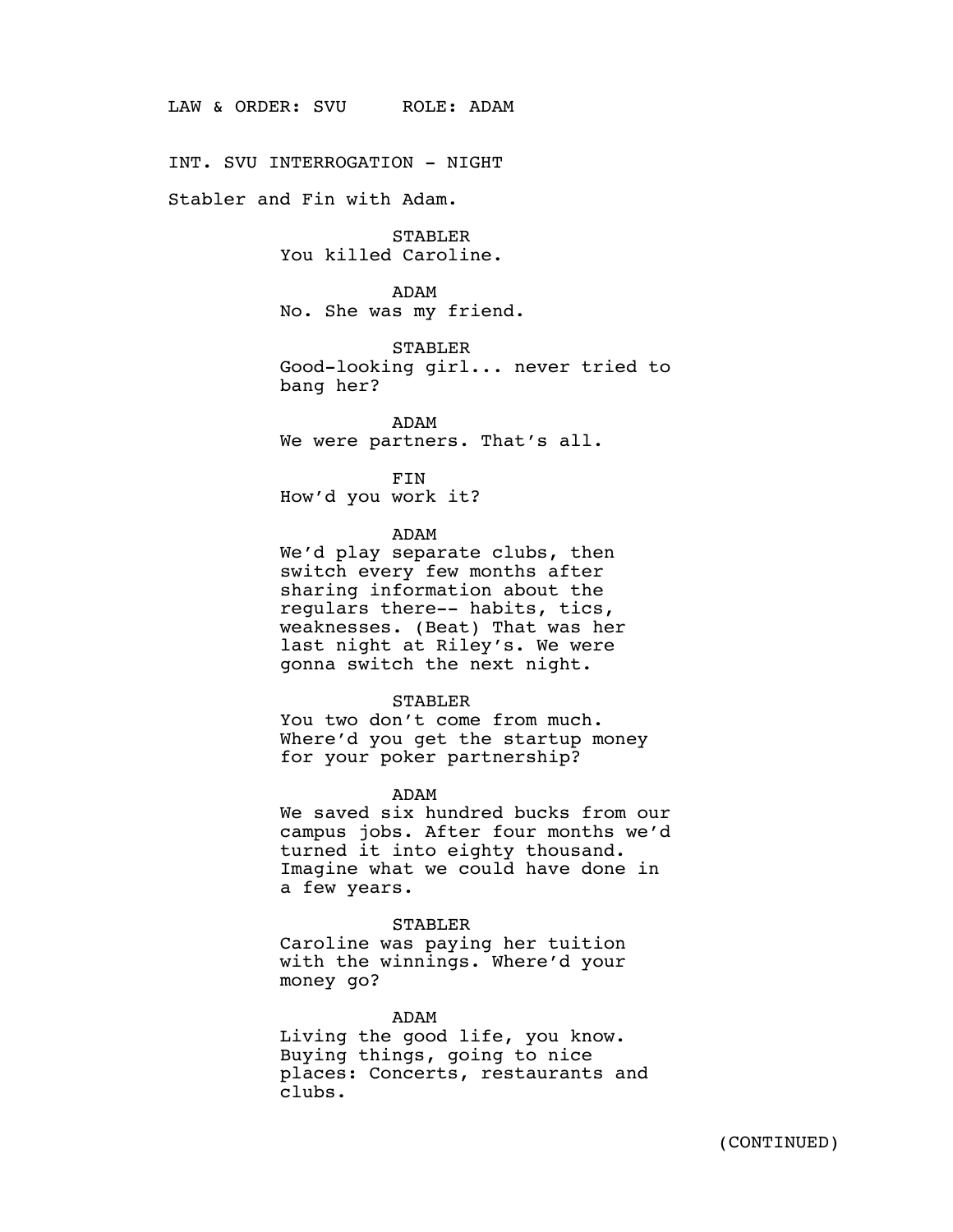LAW & ORDER: SVU ROLE: ADAM

INT. SVU INTERROGATION - NIGHT

Stabler and Fin with Adam.

STABLER You killed Caroline.

ADAM No. She was my friend.

STABLER Good-looking girl... never tried to bang her?

ADAM We were partners. That's all.

FIN How'd you work it?

ADAM

We'd play separate clubs, then switch every few months after sharing information about the regulars there-- habits, tics, weaknesses. (Beat) That was her last night at Riley's. We were gonna switch the next night.

### STABLER

You two don't come from much. Where'd you get the startup money for your poker partnership?

# ADAM

We saved six hundred bucks from our campus jobs. After four months we'd turned it into eighty thousand. Imagine what we could have done in a few years.

# STABLER

Caroline was paying her tuition with the winnings. Where'd your money go?

ADAM

Living the good life, you know. Buying things, going to nice places: Concerts, restaurants and clubs.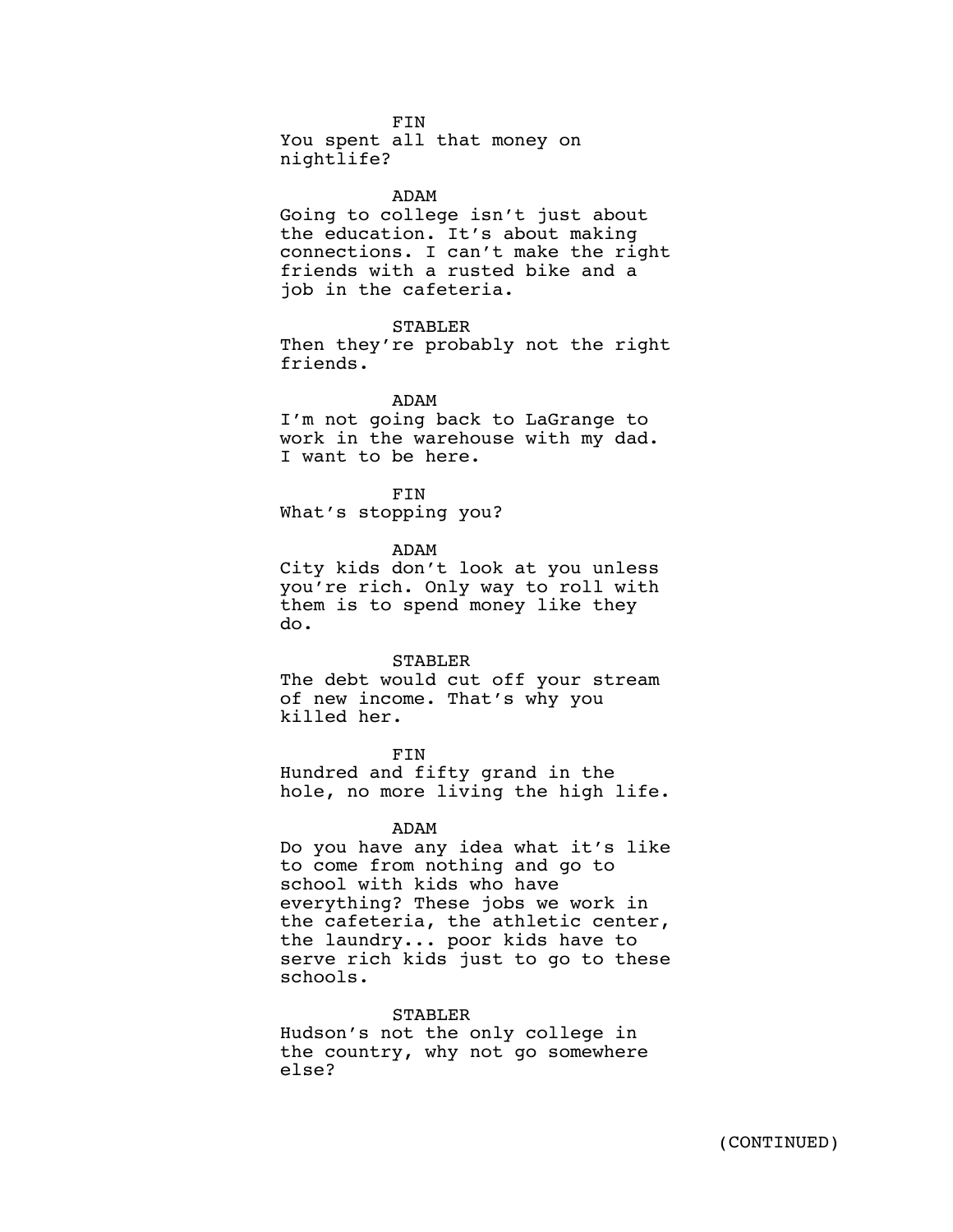FIN You spent all that money on nightlife?

#### ADAM

Going to college isn't just about the education. It's about making connections. I can't make the right friends with a rusted bike and a job in the cafeteria.

### STABLER

Then they're probably not the right friends.

### ADAM

I'm not going back to LaGrange to work in the warehouse with my dad. I want to be here.

FIN

What's stopping you?

ADAM

City kids don't look at you unless you're rich. Only way to roll with them is to spend money like they do.

#### STABLER

The debt would cut off your stream of new income. That's why you killed her.

FIN Hundred and fifty grand in the hole, no more living the high life.

# ADAM

Do you have any idea what it's like to come from nothing and go to school with kids who have everything? These jobs we work in the cafeteria, the athletic center, the laundry... poor kids have to serve rich kids just to go to these schools.

#### STABLER

Hudson's not the only college in the country, why not go somewhere else?